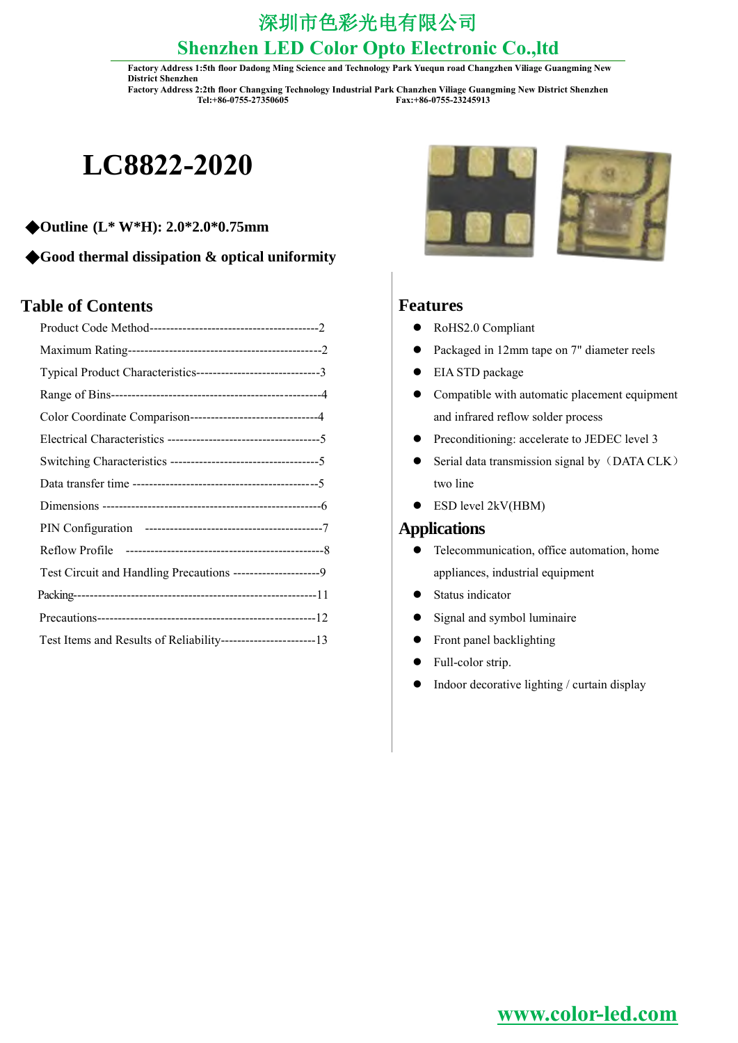**Factory Address 1:5th floor Dadong Ming Science and Technology Park Yuequn road Changzhen Viliage Guangming New District Shenzhen**

**Factory Address 2:2th floor Changxing Technology Industrial Park Chanzhen Viliage Guangming New District Shenzhen Tel:+86-0755-27350605 Fax:+86-0755-23245913**

# **LC8822-2020**

- ◆**Outline (L\* W\*H): 2.0\*2.0\*0.75mm**
- ◆**Good thermal dissipation & optical uniformity**

### **Table of Contents**

| Typical Product Characteristics-------------------------------3 |
|-----------------------------------------------------------------|
|                                                                 |
| Color Coordinate Comparison------------------------------4      |
|                                                                 |
|                                                                 |
|                                                                 |
|                                                                 |
|                                                                 |
|                                                                 |
| Test Circuit and Handling Precautions ---------------------9    |
|                                                                 |
|                                                                 |
|                                                                 |





#### **Features**

- RoHS2.0 Compliant
- Packaged in 12mm tape on 7" diameter reels
- EIA STD package
- Compatible with automatic placement equipment and infrared reflow solder process
- Preconditioning: accelerate to JEDEC level 3
- Serial data transmission signal by (DATA CLK) two line
- ESD level 2kV(HBM)

### **Applications**

- Telecommunication, office automation, home appliances, industrial equipment
- Status indicator
- Signal and symbol luminaire
- Front panel backlighting
- Full-color strip.
- Indoor decorative lighting / curtain display

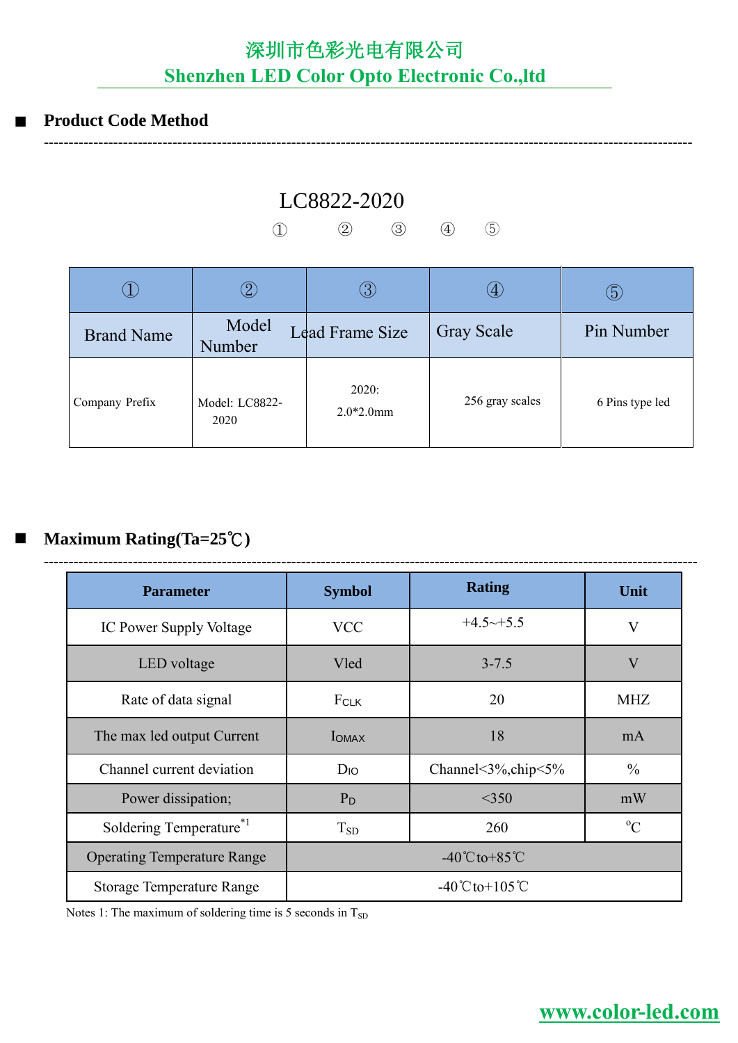### **Product Code Method**

LC8822-2020

① ② ③ ④ ⑤

**-----------------------------------------------------------------------------------------------------------------------------------**

|                   |                        | $\beta$                | $\langle 4 \rangle$ | ტ               |
|-------------------|------------------------|------------------------|---------------------|-----------------|
| <b>Brand Name</b> | Model<br>Number        | <b>Lead Frame Size</b> | <b>Gray Scale</b>   | Pin Number      |
| Company Prefix    | Model: LC8822-<br>2020 | 2020:<br>$2.0*2.0$ mm  | 256 gray scales     | 6 Pins type led |

### **Maximum Rating(Ta=25**℃**)**

| <b>Parameter</b>                    | <b>Symbol</b>                     | <b>Rating</b>                      | Unit                    |  |  |
|-------------------------------------|-----------------------------------|------------------------------------|-------------------------|--|--|
| IC Power Supply Voltage             | <b>VCC</b>                        | $+4.5 \rightarrow +5.5$            | V                       |  |  |
| LED voltage                         | Vled                              | $3 - 7.5$                          | $\overline{\mathsf{V}}$ |  |  |
| Rate of data signal                 | FCLK                              | 20                                 | <b>MHZ</b>              |  |  |
| The max led output Current          | <b>I</b> OMAX                     | 18                                 | mA                      |  |  |
| Channel current deviation           | $D_{IO}$                          | Channel<3%, chip<5%                | $\frac{0}{0}$           |  |  |
| Power dissipation;                  | $P_D$                             | $<$ 350                            | mW                      |  |  |
| Soldering Temperature <sup>*1</sup> | $T_{SD}$                          | 260                                | $\rm ^{o}C$             |  |  |
| <b>Operating Temperature Range</b>  | $-40^{\circ}$ Cto+85 $^{\circ}$ C |                                    |                         |  |  |
| <b>Storage Temperature Range</b>    |                                   | $-40^{\circ}$ Cto+105 $^{\circ}$ C |                         |  |  |

Notes 1: The maximum of soldering time is 5 seconds in  $T_{SD}$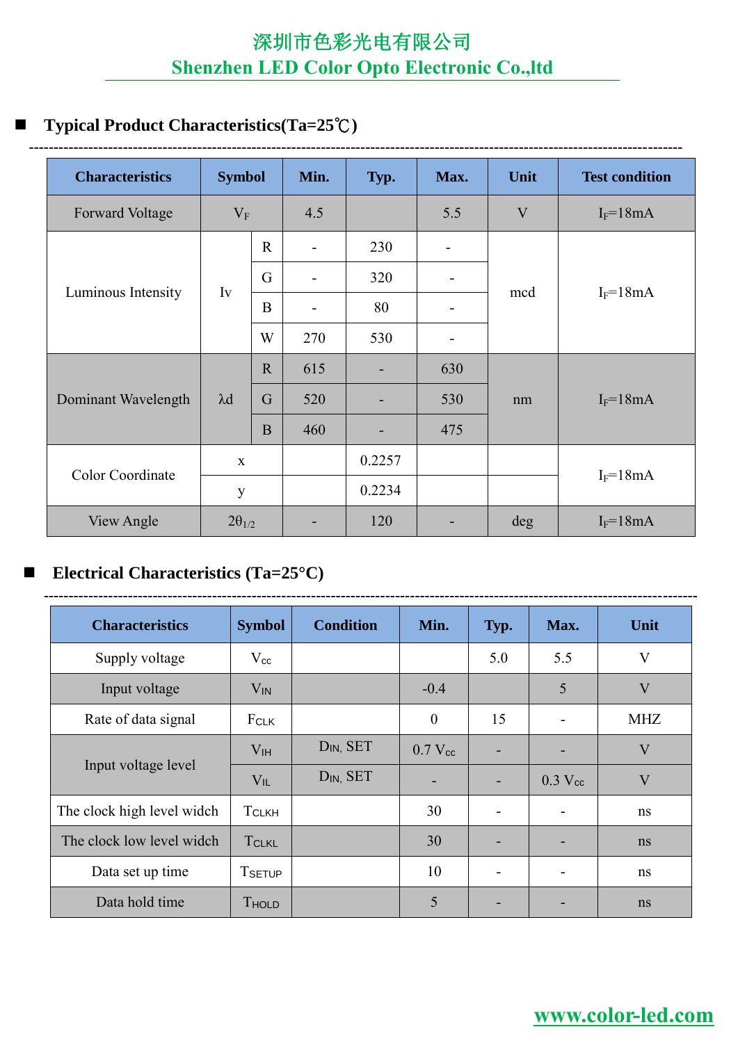### **Typical Product Characteristics(Ta=25**℃**)**

| <b>Characteristics</b> | <b>Symbol</b>   |                | Min. | Typ.   | Max.                     | Unit | <b>Test condition</b> |
|------------------------|-----------------|----------------|------|--------|--------------------------|------|-----------------------|
| <b>Forward Voltage</b> | $V_{F}$         |                | 4.5  |        | 5.5                      | V    | $I_F = 18mA$          |
|                        |                 | $\mathbf{R}$   |      | 230    |                          |      |                       |
| Luminous Intensity     |                 | G              |      | 320    |                          | mcd  | $I_F = 18mA$          |
|                        | Iv              | B              |      | 80     | ÷                        |      |                       |
|                        |                 | W              | 270  | 530    | $\overline{\phantom{a}}$ |      |                       |
|                        | $\lambda$ d     | $\mathbf R$    | 615  |        | 630                      | nm   | $I_F = 18mA$          |
| Dominant Wavelength    |                 | $\overline{G}$ | 520  |        | 530                      |      |                       |
|                        |                 | B              | 460  |        | 475                      |      |                       |
|                        | $\mathbf{X}$    |                |      | 0.2257 |                          |      |                       |
| Color Coordinate       | y               |                |      | 0.2234 |                          |      | $I_F = 18mA$          |
| View Angle             | $2\theta_{1/2}$ |                |      | 120    |                          | deg  | $I_F = 18mA$          |

### **Electrical Characteristics (Ta=25°C)**

| <b>Characteristics</b>     | <b>Symbol</b>   | <b>Condition</b>      | Min.             | Typ. | Max.                  | Unit                    |
|----------------------------|-----------------|-----------------------|------------------|------|-----------------------|-------------------------|
| Supply voltage             | $\rm V_{cc}$    |                       |                  | 5.0  | 5.5                   | V                       |
| Input voltage              | $V_{IN}$        |                       | $-0.4$           |      | 5                     | $\overline{\mathsf{V}}$ |
| Rate of data signal        | FCLK            |                       | $\boldsymbol{0}$ | 15   |                       | <b>MHZ</b>              |
| Input voltage level        | V <sub>IH</sub> | D <sub>IN</sub> , SET | $0.7 V_{cc}$     | -    |                       | $\overline{\mathsf{V}}$ |
|                            | $V_{IL}$        | D <sub>IN</sub> , SET | ۰                |      | $0.3$ V <sub>cc</sub> | $\overline{\mathsf{V}}$ |
| The clock high level widch | <b>TCLKH</b>    |                       | 30               |      |                       | ns                      |
| The clock low level widch  | <b>TCLKL</b>    |                       | 30               |      |                       | ns                      |
| Data set up time           | <b>TSETUP</b>   |                       | 10               |      |                       | ns                      |
| Data hold time             | THOLD           |                       | 5                |      |                       | n <sub>s</sub>          |

**------------------------------------------------------------------------------------------------------------------------------------**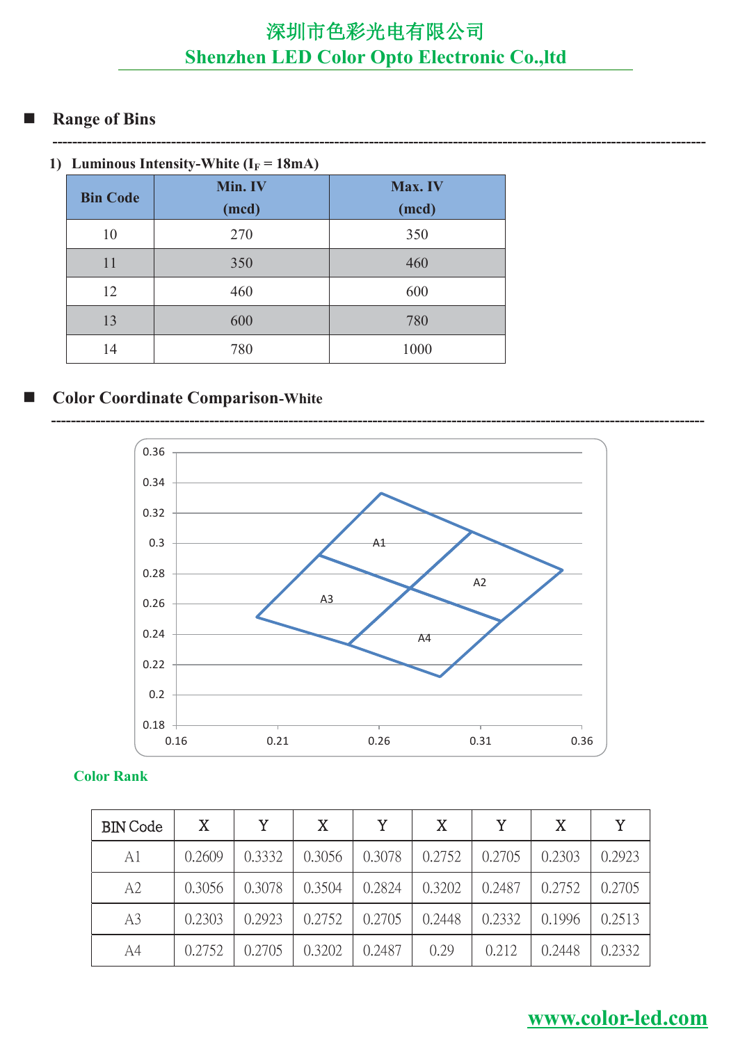**------------------------------------------------------------------------------------------------------------------------------------**

### **Range of Bins**

|  |  | 1) Luminous Intensity-White ( $I_F = 18mA$ ) |  |
|--|--|----------------------------------------------|--|
|--|--|----------------------------------------------|--|

| <b>Bin Code</b> | Min. IV | Max. IV |  |  |  |
|-----------------|---------|---------|--|--|--|
|                 | (mcd)   | (mcd)   |  |  |  |
| 10              | 270     | 350     |  |  |  |
| 11              | 350     | 460     |  |  |  |
| 12              | 460     | 600     |  |  |  |
| 13              | 600     | 780     |  |  |  |
| 14              | 780     | 1000    |  |  |  |

### ■ Color Coordinate Comparison-White



#### **Color Rank**

| <b>BIN</b> Code | X      | Y.     | X      | Y      | $\mathbf{X}$ | Y      | X      | Y      |
|-----------------|--------|--------|--------|--------|--------------|--------|--------|--------|
| A1              | 0.2609 | 0.3332 | 0.3056 | 0.3078 | 0.2752       | 0.2705 | 0.2303 | 0.2923 |
| A2              | 0.3056 | 0.3078 | 0.3504 | 0.2824 | 0.3202       | 0.2487 | 0.2752 | 0.2705 |
| A <sub>3</sub>  | 0.2303 | 0.2923 | 0.2752 | 0.2705 | 0.2448       | 0.2332 | 0.1996 | 0.2513 |
| A4              | 0.2752 | 0.2705 | 0.3202 | 0.2487 | 0.29         | 0.212  | 0.2448 | 0.2332 |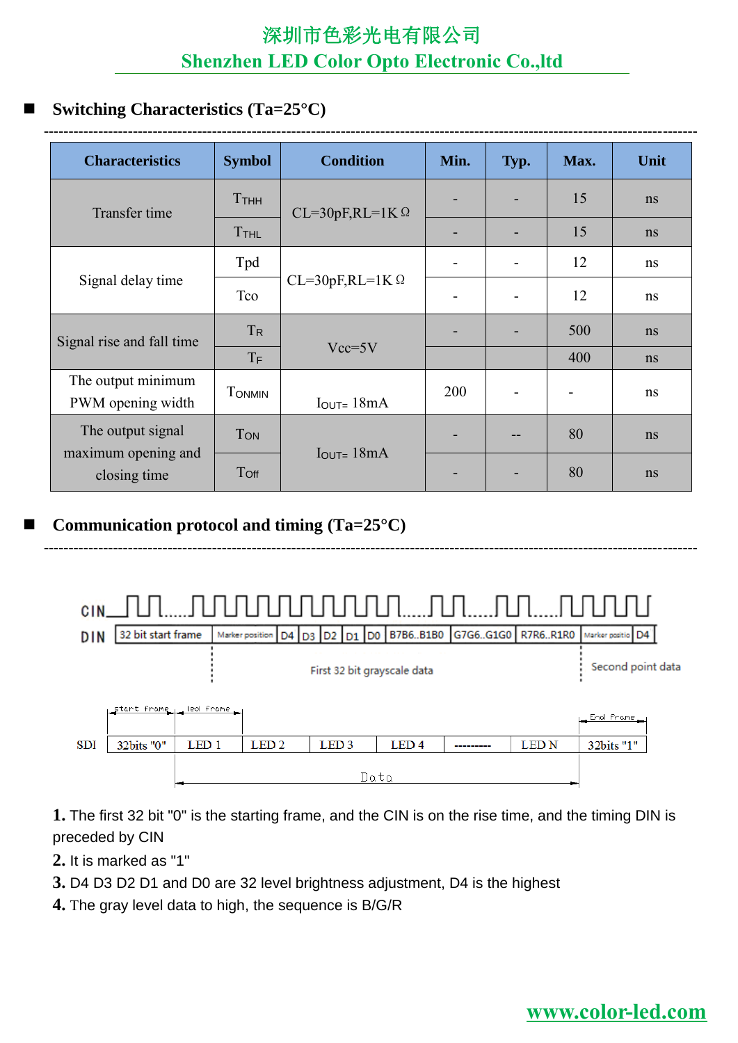### **Switching Characteristics (Ta=25°C)**

| <b>Characteristics</b>                  | <b>Symbol</b> | <b>Condition</b>                | Min. | Typ. | Max. | Unit           |
|-----------------------------------------|---------------|---------------------------------|------|------|------|----------------|
| Transfer time                           | Ттнн          | $CL=30pF,RL=1K$ $\Omega$        |      |      | 15   | n <sub>s</sub> |
|                                         | <b>TTHL</b>   |                                 |      |      | 15   | ns             |
|                                         | Tpd           |                                 |      |      | 12   | ns             |
| Signal delay time                       | Tco           | $CL=30pF,RL=1K$ $\Omega$        |      |      | 12   | ns             |
| Signal rise and fall time               | $T_{R}$       |                                 |      |      | 500  | n <sub>s</sub> |
|                                         | $T_F$         | $Vcc = 5V$                      |      |      | 400  | ns             |
| The output minimum<br>PWM opening width | <b>TONMIN</b> | $I_{\text{OUT}} = 18mA$         | 200  |      |      | ns             |
| The output signal                       | <b>TON</b>    |                                 |      |      | 80   | n <sub>s</sub> |
| maximum opening and<br>closing time     | Toff          | $I_{\text{OUT}} = 18 \text{mA}$ |      |      | 80   | ns             |

### **Communication protocol and timing (Ta=25°C)**



**------------------------------------------------------------------------------------------------------------------------------------**

**1.** The first 32 bit "0" is the starting frame, and the CIN is on the rise time, and the timing DIN is preceded by CIN

- **2.** It is marked as "1"
- **3.** D4 D3 D2 D1 and D0 are 32 level brightness adjustment, D4 is the highest
- **4.** The gray level data to high, the sequence is B/G/R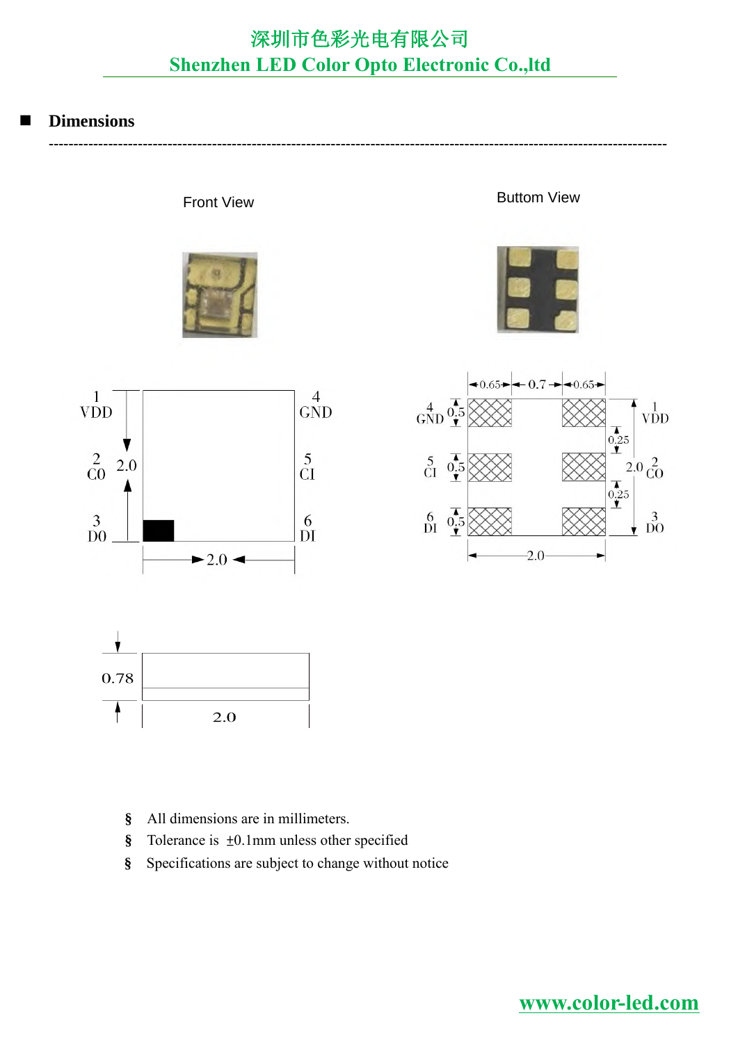#### **Dimensions**

**-----------------------------------------------------------------------------------------------------------------------------**



Front View **Buttom View** 









- **§** All dimensions are in millimeters.
- **§** Tolerance is ±0.1mm unless other specified
- **§** Specifications are subject to change without notice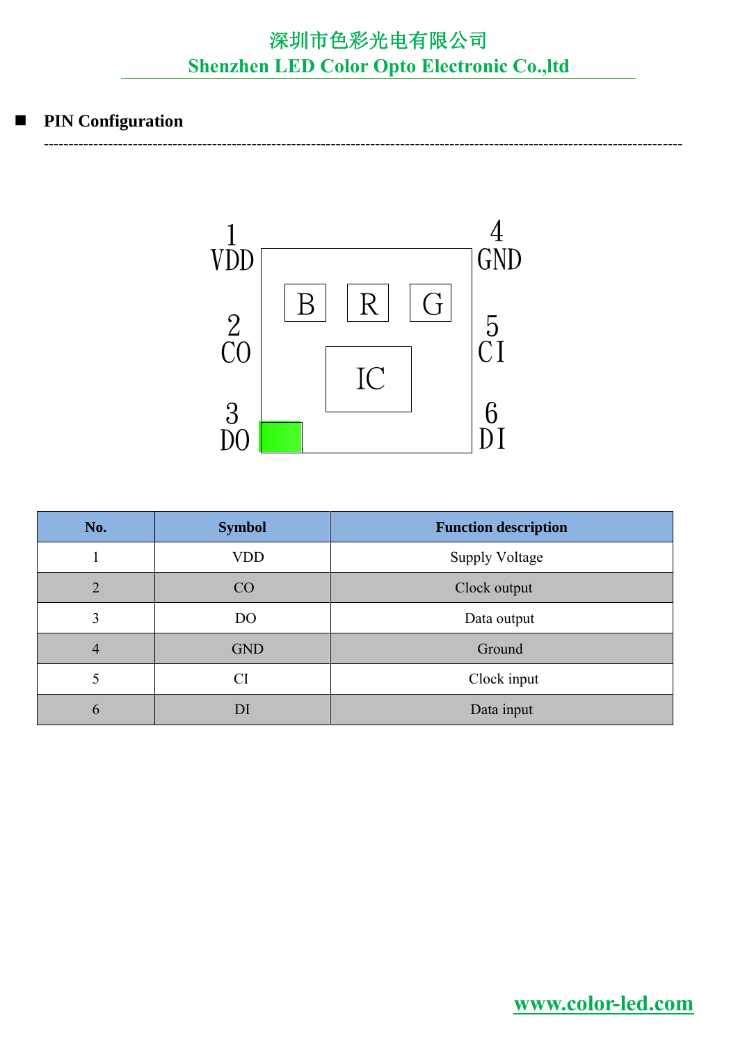**---------------------------------------------------------------------------------------------------------------------------------**

### **PIN Configuration**



| No.            | <b>Symbol</b>  | <b>Function description</b> |  |  |  |
|----------------|----------------|-----------------------------|--|--|--|
|                | <b>VDD</b>     | <b>Supply Voltage</b>       |  |  |  |
| $\overline{2}$ | CO             | Clock output                |  |  |  |
| 3              | D <sub>O</sub> | Data output                 |  |  |  |
| $\overline{4}$ | <b>GND</b>     | Ground                      |  |  |  |
| 5              | CI             | Clock input                 |  |  |  |
| $\mathfrak b$  | DI             | Data input                  |  |  |  |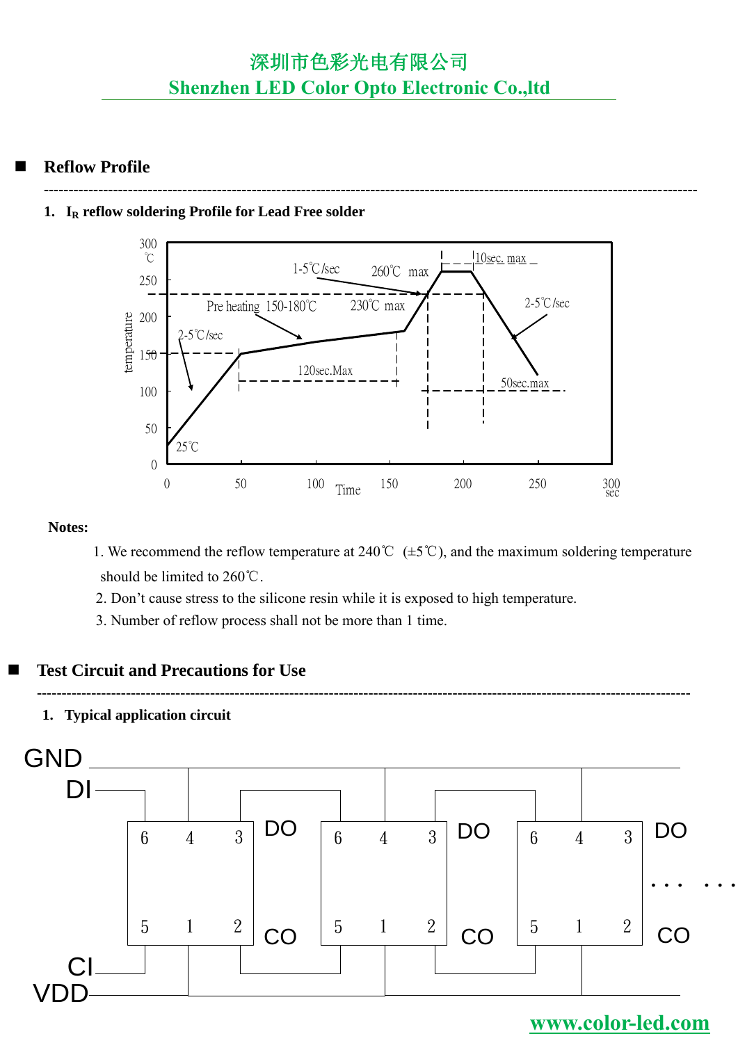**------------------------------------------------------------------------------------------------------------------------------------**

### **Reflow Profile**

#### **1. I<sup>R</sup> reflow soldering Profile for Lead Free solder**



#### **Notes:**

- 1. We recommend the reflow temperature at 240°C ( $\pm$ 5°C), and the maximum soldering temperature should be limited to 260℃.
- 2. Don't cause stress to the silicone resin while it is exposed to high temperature.
- 3. Number of reflow process shall not be more than 1 time.

#### **Test Circuit and Precautions for Use**

## **------------------------------------------------------------------------------------------------------------------------------------**

**1. Typical application circuit**

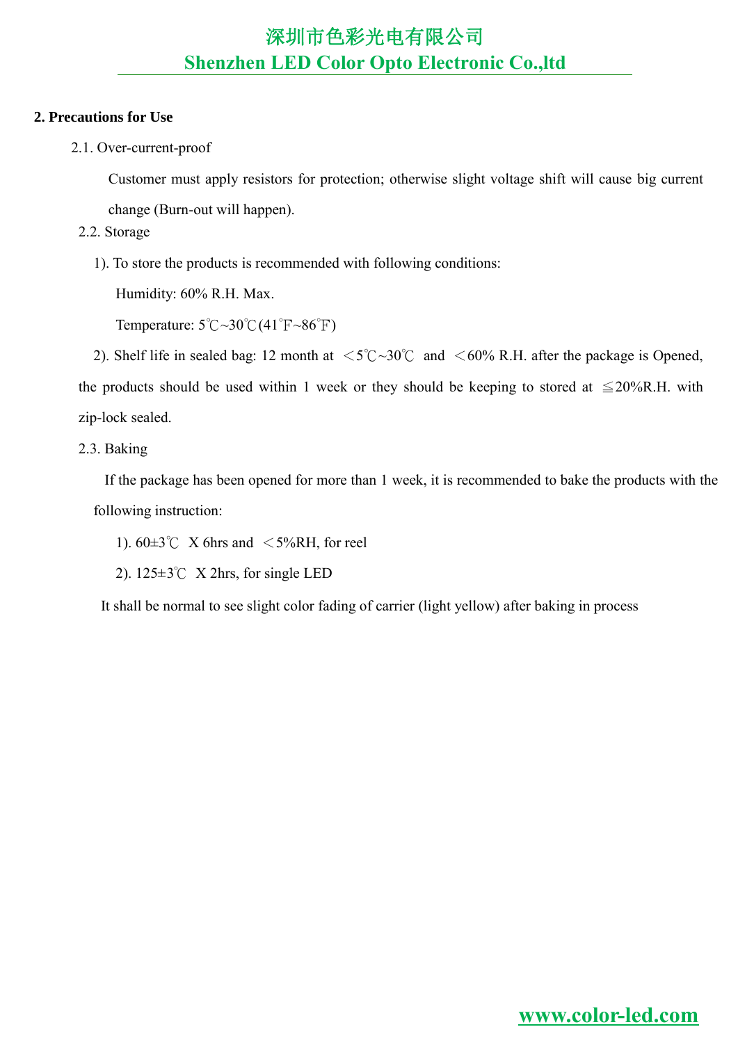#### **2. Precautions for Use**

2.1. Over-current-proof

Customer must apply resistors for protection; otherwise slight voltage shift will cause big current

change (Burn-out will happen).

- 2.2. Storage
	- 1). To store the products is recommended with following conditions:

Humidity: 60% R.H. Max.

Temperature:  $5^{\circ}\text{C} \sim 30^{\circ}\text{C} (41^{\circ}\text{F} \sim 86^{\circ}\text{F})$ 

2). Shelf life in sealed bag: 12 month at  $\langle 5^{\circ}\text{C} \sim 30^{\circ}\text{C}$  and  $\langle 60^{\circ}\text{A} \rangle$ . After the package is Opened, the products should be used within 1 week or they should be keeping to stored at  $\leq 20\%$ R.H. with zip-lock sealed.

2.3. Baking

If the package has been opened for more than 1 week, it is recommended to bake the products with the following instruction:

- 1).  $60\pm3^{\circ}$  X 6hrs and  $\leq5\%RH$ , for reel
- 2). 125±3℃ X 2hrs, for single LED

It shall be normal to see slight color fading of carrier (light yellow) after baking in process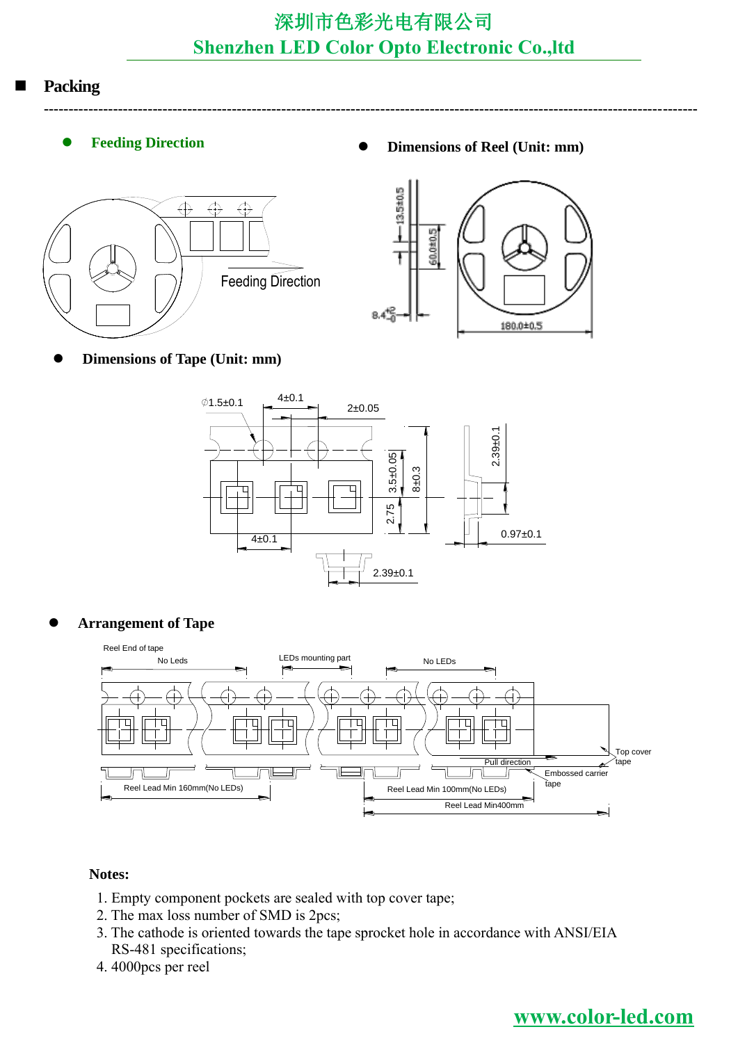**------------------------------------------------------------------------------------------------------------------------------------**

### **Packing**

- - **Feeding Direction • Dimensions of Reel** (Unit: mm)





**Dimensions of Tape (Unit: mm)**



#### **Arrangement of Tape**



#### **Notes:**

- 1. Empty component pockets are sealed with top cover tape;
- 2. The max loss number of SMD is 2pcs;
- 3. The cathode is oriented towards the tape sprocket hole in accordance with ANSI/EIA RS-481 specifications;
- 4. 4000pcs per reel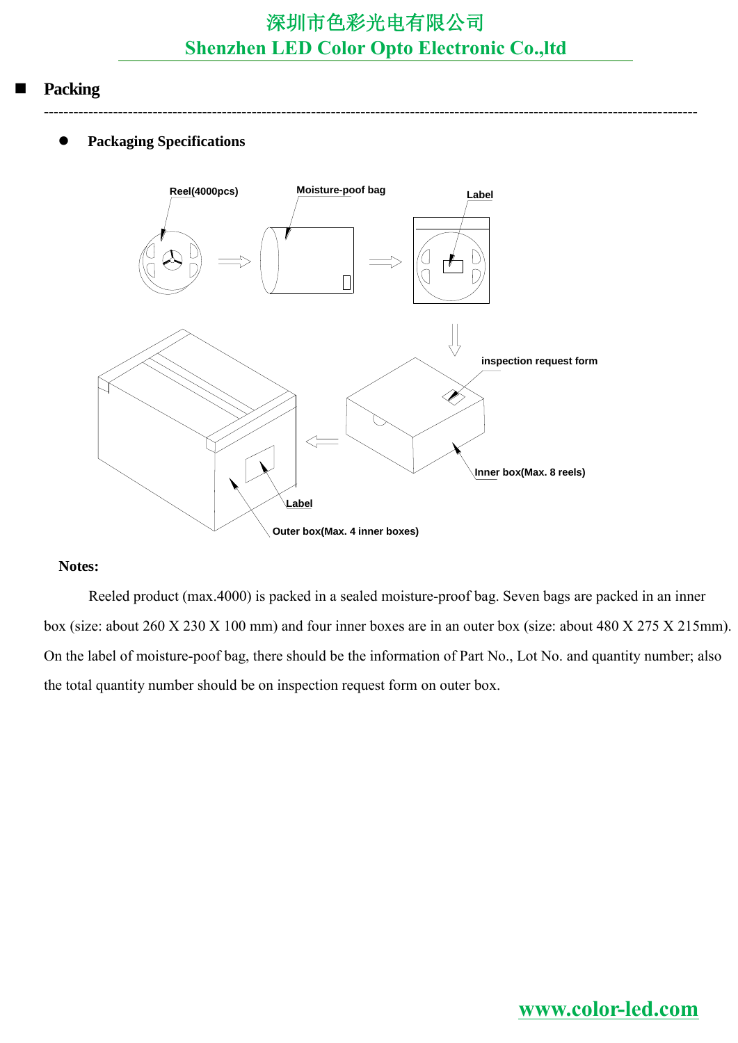**------------------------------------------------------------------------------------------------------------------------------------**

#### **Packing**

#### **Packaging Specifications**



#### **Notes:**

Reeled product (max.4000) is packed in a sealed moisture-proof bag. Seven bags are packed in an inner box (size: about 260 X 230 X 100 mm) and four inner boxes are in an outer box (size: about 480 X 275 X 215mm). On the label of moisture-poof bag, there should be the information of Part No., Lot No. and quantity number; also the total quantity number should be on inspection request form on outer box.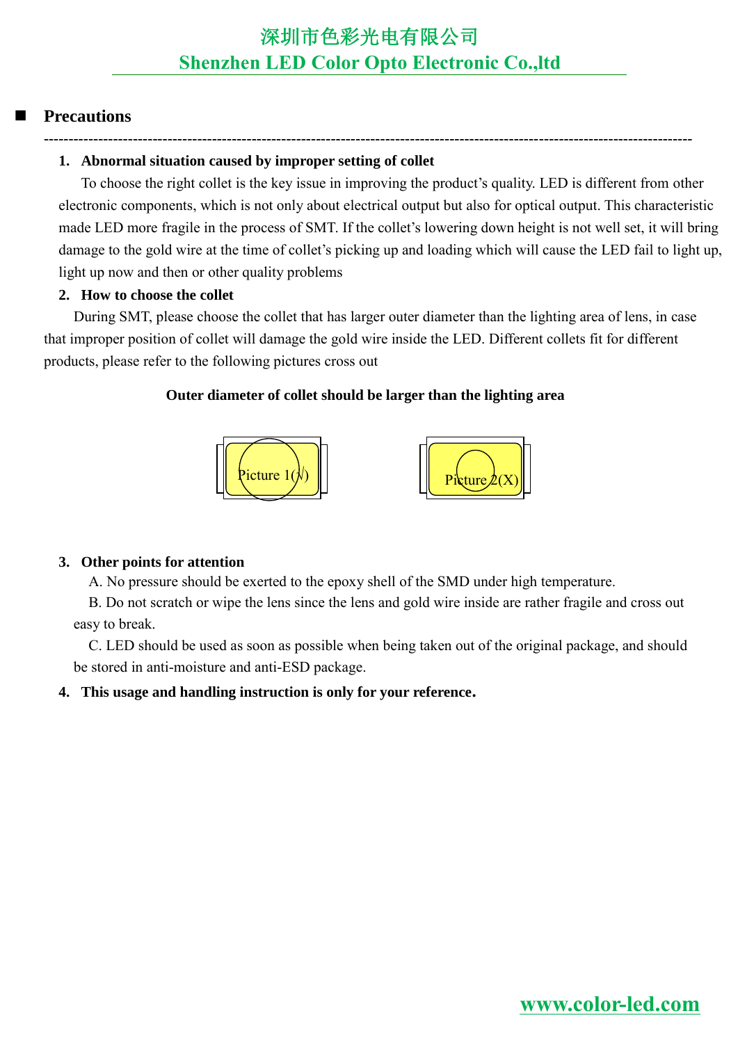### **Precautions**

### **-----------------------------------------------------------------------------------------------------------------------------------**

### **1. Abnormal situation caused by improper setting of collet**

To choose the right collet is the key issue in improving the product's quality. LED is different from other electronic components, which is not only about electrical output but also for optical output. This characteristic made LED more fragile in the process of SMT. If the collet's lowering down height is not well set, it will bring damage to the gold wire at the time of collet's picking up and loading which will cause the LED fail to light up, light up now and then or other quality problems

### **2. How to choose the collet**

During SMT, please choose the collet that has larger outer diameter than the lighting area of lens, in case that improper position of collet will damage the gold wire inside the LED. Different collets fit for different products, please refer to the following pictures cross out

### **Outer diameter of collet should be larger than the lighting area**



### **3. Other points for attention**

A. No pressure should be exerted to the epoxy shell of the SMD under high temperature.

B. Do not scratch or wipe the lens since the lens and gold wire inside are rather fragile and cross out easy to break.

C. LED should be used as soon as possible when being taken out of the original package, and should be stored in anti-moisture and anti-ESD package.

### **4. This usage and handling instruction is only for your reference.**